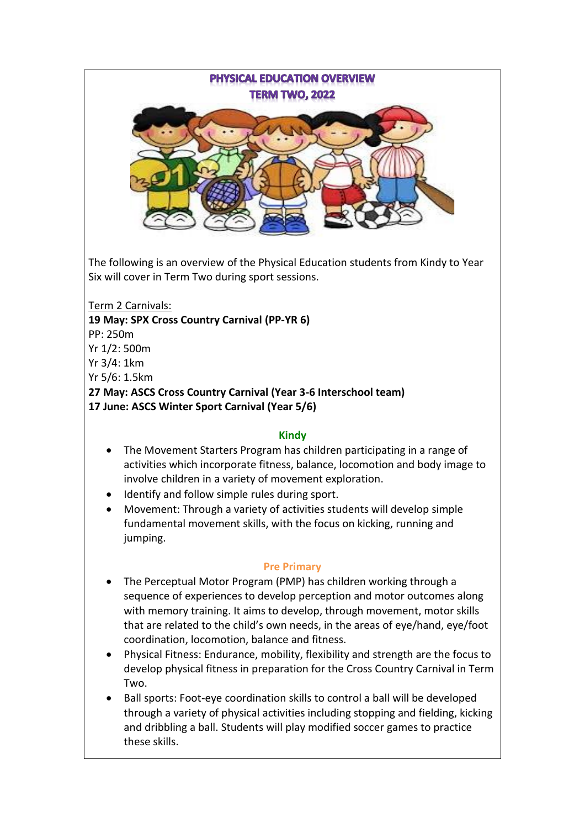**PHYSICAL EDUCATION OVERVIEW TERM TWO, 2022** 

The following is an overview of the Physical Education students from Kindy to Year Six will cover in Term Two during sport sessions.

Term 2 Carnivals:

**19 May: SPX Cross Country Carnival (PP-YR 6)**

PP: 250m

Yr 1/2: 500m

Yr 3/4: 1km

Yr 5/6: 1.5km

**27 May: ASCS Cross Country Carnival (Year 3-6 Interschool team) 17 June: ASCS Winter Sport Carnival (Year 5/6)**

## **Kindy**

- The Movement Starters Program has children participating in a range of activities which incorporate fitness, balance, locomotion and body image to involve children in a variety of movement exploration.
- Identify and follow simple rules during sport.
- Movement: Through a variety of activities students will develop simple fundamental movement skills, with the focus on kicking, running and jumping.

## **Pre Primary**

- The Perceptual Motor Program (PMP) has children working through a sequence of experiences to develop perception and motor outcomes along with memory training. It aims to develop, through movement, motor skills that are related to the child's own needs, in the areas of eye/hand, eye/foot coordination, locomotion, balance and fitness.
- Physical Fitness: Endurance, mobility, flexibility and strength are the focus to develop physical fitness in preparation for the Cross Country Carnival in Term Two.
- Ball sports: Foot-eye coordination skills to control a ball will be developed through a variety of physical activities including stopping and fielding, kicking and dribbling a ball. Students will play modified soccer games to practice these skills.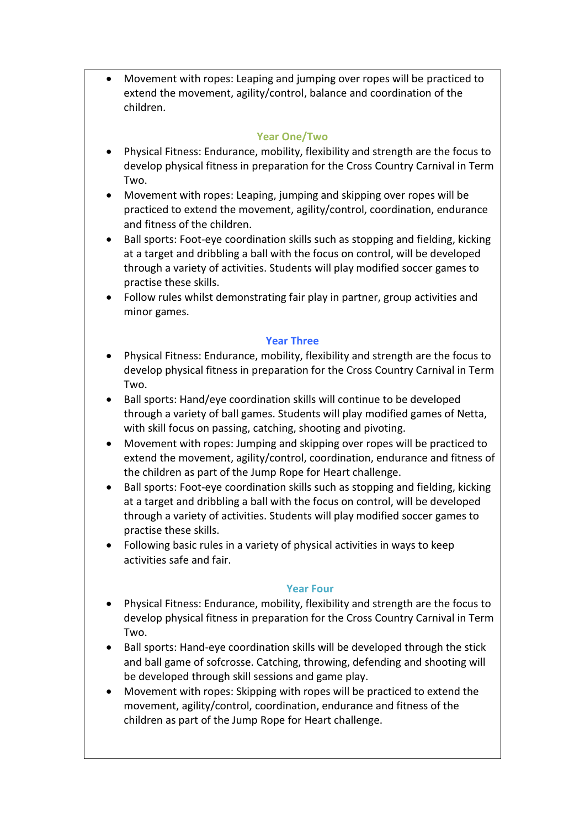• Movement with ropes: Leaping and jumping over ropes will be practiced to extend the movement, agility/control, balance and coordination of the children.

### **Year One/Two**

- Physical Fitness: Endurance, mobility, flexibility and strength are the focus to develop physical fitness in preparation for the Cross Country Carnival in Term Two.
- Movement with ropes: Leaping, jumping and skipping over ropes will be practiced to extend the movement, agility/control, coordination, endurance and fitness of the children.
- Ball sports: Foot-eye coordination skills such as stopping and fielding, kicking at a target and dribbling a ball with the focus on control, will be developed through a variety of activities. Students will play modified soccer games to practise these skills.
- Follow rules whilst demonstrating fair play in partner, group activities and minor games.

#### **Year Three**

- Physical Fitness: Endurance, mobility, flexibility and strength are the focus to develop physical fitness in preparation for the Cross Country Carnival in Term Two.
- Ball sports: Hand/eye coordination skills will continue to be developed through a variety of ball games. Students will play modified games of Netta, with skill focus on passing, catching, shooting and pivoting.
- Movement with ropes: Jumping and skipping over ropes will be practiced to extend the movement, agility/control, coordination, endurance and fitness of the children as part of the Jump Rope for Heart challenge.
- Ball sports: Foot-eye coordination skills such as stopping and fielding, kicking at a target and dribbling a ball with the focus on control, will be developed through a variety of activities. Students will play modified soccer games to practise these skills.
- Following basic rules in a variety of physical activities in ways to keep activities safe and fair.

## **Year Four**

- Physical Fitness: Endurance, mobility, flexibility and strength are the focus to develop physical fitness in preparation for the Cross Country Carnival in Term Two.
- Ball sports: Hand-eye coordination skills will be developed through the stick and ball game of sofcrosse. Catching, throwing, defending and shooting will be developed through skill sessions and game play.
- Movement with ropes: Skipping with ropes will be practiced to extend the movement, agility/control, coordination, endurance and fitness of the children as part of the Jump Rope for Heart challenge.